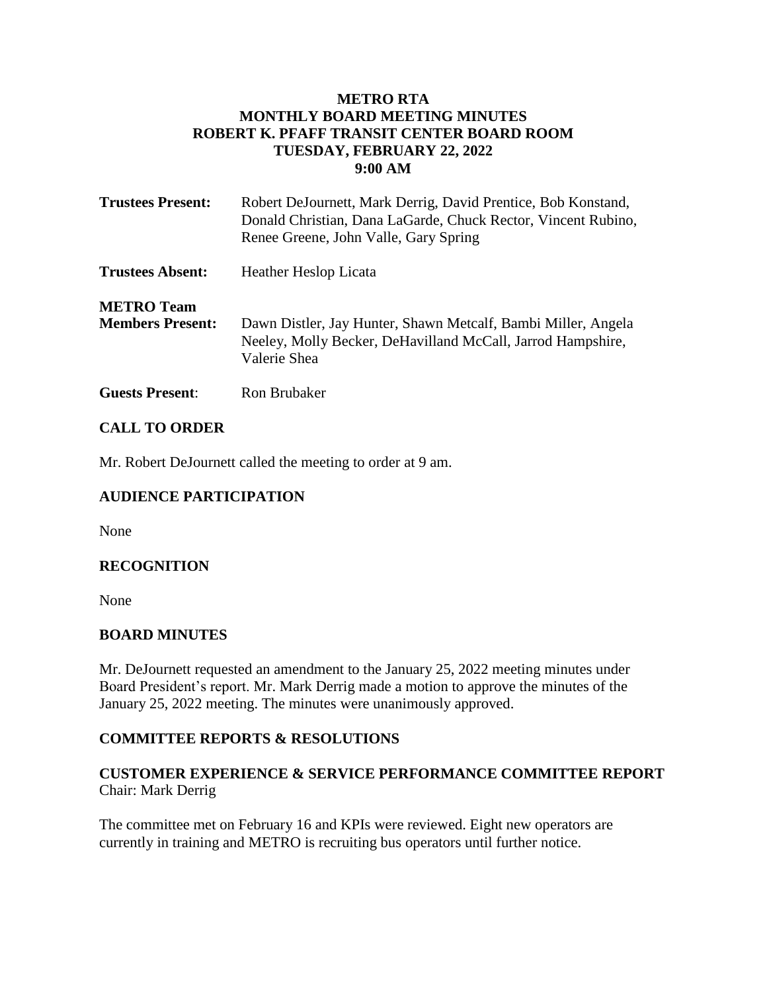## **METRO RTA MONTHLY BOARD MEETING MINUTES ROBERT K. PFAFF TRANSIT CENTER BOARD ROOM TUESDAY, FEBRUARY 22, 2022 9:00 AM**

| <b>Trustees Present:</b>                     | Robert DeJournett, Mark Derrig, David Prentice, Bob Konstand,<br>Donald Christian, Dana LaGarde, Chuck Rector, Vincent Rubino,<br>Renee Greene, John Valle, Gary Spring |
|----------------------------------------------|-------------------------------------------------------------------------------------------------------------------------------------------------------------------------|
| <b>Trustees Absent:</b>                      | <b>Heather Heslop Licata</b>                                                                                                                                            |
| <b>METRO Team</b><br><b>Members Present:</b> | Dawn Distler, Jay Hunter, Shawn Metcalf, Bambi Miller, Angela<br>Neeley, Molly Becker, DeHavilland McCall, Jarrod Hampshire,<br>Valerie Shea                            |

**Guests Present**: Ron Brubaker

### **CALL TO ORDER**

Mr. Robert DeJournett called the meeting to order at 9 am.

### **AUDIENCE PARTICIPATION**

None

### **RECOGNITION**

None

### **BOARD MINUTES**

Mr. DeJournett requested an amendment to the January 25, 2022 meeting minutes under Board President's report. Mr. Mark Derrig made a motion to approve the minutes of the January 25, 2022 meeting. The minutes were unanimously approved.

### **COMMITTEE REPORTS & RESOLUTIONS**

# **CUSTOMER EXPERIENCE & SERVICE PERFORMANCE COMMITTEE REPORT** Chair: Mark Derrig

The committee met on February 16 and KPIs were reviewed. Eight new operators are currently in training and METRO is recruiting bus operators until further notice.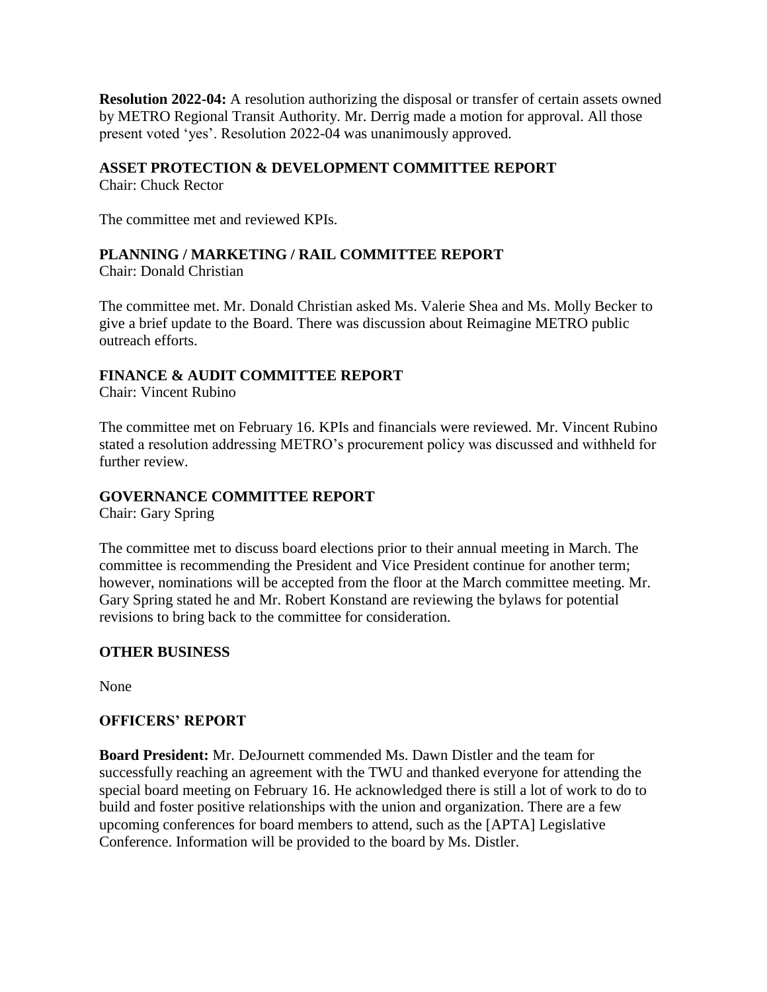**Resolution 2022-04:** A resolution authorizing the disposal or transfer of certain assets owned by METRO Regional Transit Authority. Mr. Derrig made a motion for approval. All those present voted 'yes'. Resolution 2022-04 was unanimously approved.

## **ASSET PROTECTION & DEVELOPMENT COMMITTEE REPORT**

Chair: Chuck Rector

The committee met and reviewed KPIs.

# **PLANNING / MARKETING / RAIL COMMITTEE REPORT**

Chair: Donald Christian

The committee met. Mr. Donald Christian asked Ms. Valerie Shea and Ms. Molly Becker to give a brief update to the Board. There was discussion about Reimagine METRO public outreach efforts.

# **FINANCE & AUDIT COMMITTEE REPORT**

Chair: Vincent Rubino

The committee met on February 16. KPIs and financials were reviewed. Mr. Vincent Rubino stated a resolution addressing METRO's procurement policy was discussed and withheld for further review.

### **GOVERNANCE COMMITTEE REPORT**

Chair: Gary Spring

The committee met to discuss board elections prior to their annual meeting in March. The committee is recommending the President and Vice President continue for another term; however, nominations will be accepted from the floor at the March committee meeting. Mr. Gary Spring stated he and Mr. Robert Konstand are reviewing the bylaws for potential revisions to bring back to the committee for consideration.

# **OTHER BUSINESS**

None

### **OFFICERS' REPORT**

**Board President:** Mr. DeJournett commended Ms. Dawn Distler and the team for successfully reaching an agreement with the TWU and thanked everyone for attending the special board meeting on February 16. He acknowledged there is still a lot of work to do to build and foster positive relationships with the union and organization. There are a few upcoming conferences for board members to attend, such as the [APTA] Legislative Conference. Information will be provided to the board by Ms. Distler.